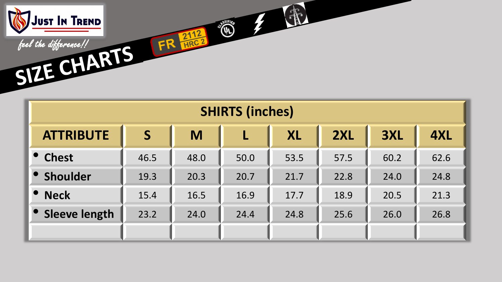

| <b>SHIRTS (inches)</b> |                         |      |                         |           |      |      |      |  |  |  |
|------------------------|-------------------------|------|-------------------------|-----------|------|------|------|--|--|--|
| <b>ATTRIBUTE</b>       | $\overline{\mathsf{S}}$ | M    | $\overline{\mathsf{L}}$ | <b>XL</b> | 2XL  |      | 4XL  |  |  |  |
| <b>Chest</b>           | 46.5                    | 48.0 | 50.0                    | 53.5      | 57.5 | 60.2 | 62.6 |  |  |  |
| Shoulder               | 19.3                    | 20.3 | 20.7                    | 21.7      | 22.8 | 24.0 | 24.8 |  |  |  |
| <b>Neck</b>            | 15.4                    | 16.5 | 16.9                    | 17.7      | 18.9 | 20.5 | 21.3 |  |  |  |
| <b>Sleeve length</b>   | 23.2<br>24.0            |      | 24.4                    | 24.8      | 25.6 | 26.0 | 26.8 |  |  |  |
|                        |                         |      |                         |           |      |      |      |  |  |  |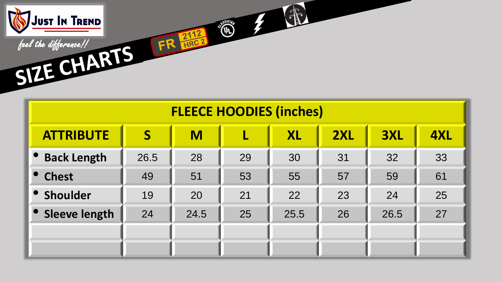

| <b>FLEECE HOODIES (inches)</b> |                                                 |      |    |      |    |      |    |  |  |  |  |  |
|--------------------------------|-------------------------------------------------|------|----|------|----|------|----|--|--|--|--|--|
| <b>ATTRIBUTE</b>               | 3XL<br>4XL<br>S<br><b>2XL</b><br><b>XL</b><br>M |      |    |      |    |      |    |  |  |  |  |  |
| <b>Back Length</b>             | 26.5                                            | 28   | 29 | 30   | 31 | 32   | 33 |  |  |  |  |  |
| • Chest                        | 49                                              | 51   | 53 | 55   | 57 | 59   | 61 |  |  |  |  |  |
| Shoulder                       | 19                                              | 20   | 21 | 22   | 23 | 24   | 25 |  |  |  |  |  |
| Sleeve length                  | 24                                              | 24.5 | 25 | 25.5 | 26 | 26.5 | 27 |  |  |  |  |  |
|                                |                                                 |      |    |      |    |      |    |  |  |  |  |  |
|                                |                                                 |      |    |      |    |      |    |  |  |  |  |  |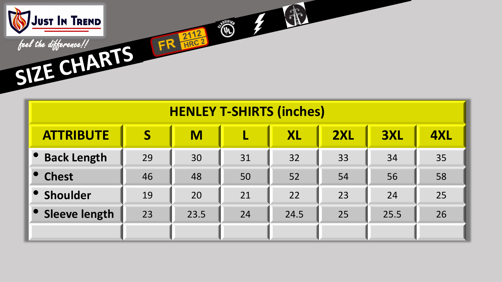

| <b>HENLEY T-SHIRTS (inches)</b> |                                                 |      |    |      |    |      |    |  |  |  |  |
|---------------------------------|-------------------------------------------------|------|----|------|----|------|----|--|--|--|--|
| <b>ATTRIBUTE</b>                | <b>2XL</b><br>S<br>M<br><b>3XL</b><br><b>XL</b> |      |    |      |    |      |    |  |  |  |  |
| <b>Back Length</b>              | 29                                              | 30   | 31 | 32   | 33 | 34   | 35 |  |  |  |  |
| <b>Chest</b>                    | 46                                              | 48   | 50 | 52   | 54 | 56   | 58 |  |  |  |  |
| Shoulder                        | 19                                              | 20   | 21 | 22   | 23 | 24   | 25 |  |  |  |  |
| • Sleeve length                 | 23                                              | 23.5 | 24 | 24.5 | 25 | 25.5 | 26 |  |  |  |  |
|                                 |                                                 |      |    |      |    |      |    |  |  |  |  |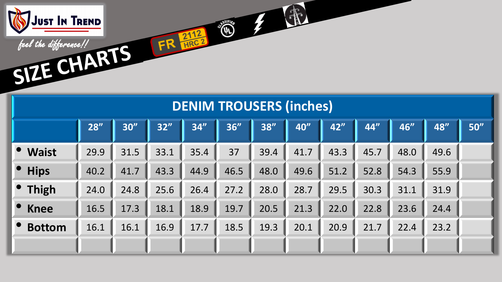

| <b>DENIM TROUSERS (inches)</b> |      |      |      |      |      |      |      |      |      |      |      |      |  |
|--------------------------------|------|------|------|------|------|------|------|------|------|------|------|------|--|
|                                | 28'' | 30'' | 32"  | 34"  | 36"  | 38"  | 40"  | 42"  | 44"  | 46"  | 48"  | 50'' |  |
| <b>Waist</b>                   | 29.9 | 31.5 | 33.1 | 35.4 | 37   | 39.4 | 41.7 | 43.3 | 45.7 | 48.0 | 49.6 |      |  |
| <b>Hips</b>                    | 40.2 | 41.7 | 43.3 | 44.9 | 46.5 | 48.0 | 49.6 | 51.2 | 52.8 | 54.3 | 55.9 |      |  |
| <b>Thigh</b>                   | 24.0 | 24.8 | 25.6 | 26.4 | 27.2 | 28.0 | 28.7 | 29.5 | 30.3 | 31.1 | 31.9 |      |  |
| <b>Knee</b>                    | 16.5 | 17.3 | 18.1 | 18.9 | 19.7 | 20.5 | 21.3 | 22.0 | 22.8 | 23.6 | 24.4 |      |  |
| <b>Bottom</b>                  | 16.1 | 16.1 | 16.9 | 17.7 | 18.5 | 19.3 | 20.1 | 20.9 | 21.7 | 22.4 | 23.2 |      |  |
|                                |      |      |      |      |      |      |      |      |      |      |      |      |  |